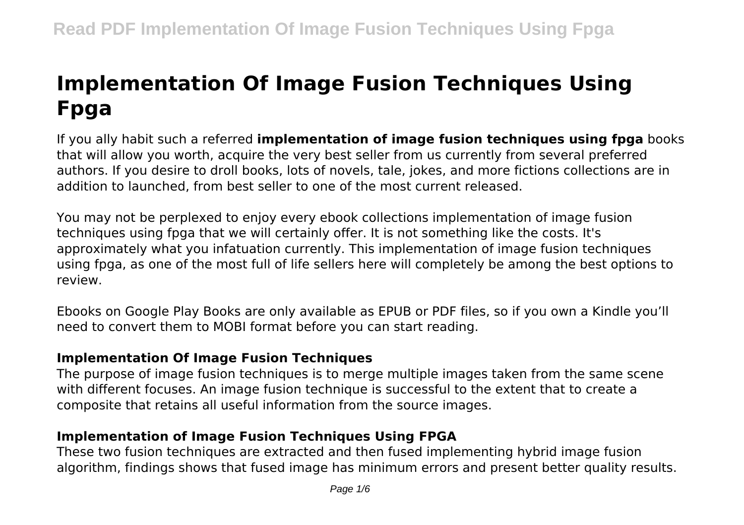# **Implementation Of Image Fusion Techniques Using Fpga**

If you ally habit such a referred **implementation of image fusion techniques using fpga** books that will allow you worth, acquire the very best seller from us currently from several preferred authors. If you desire to droll books, lots of novels, tale, jokes, and more fictions collections are in addition to launched, from best seller to one of the most current released.

You may not be perplexed to enjoy every ebook collections implementation of image fusion techniques using fpga that we will certainly offer. It is not something like the costs. It's approximately what you infatuation currently. This implementation of image fusion techniques using fpga, as one of the most full of life sellers here will completely be among the best options to review.

Ebooks on Google Play Books are only available as EPUB or PDF files, so if you own a Kindle you'll need to convert them to MOBI format before you can start reading.

## **Implementation Of Image Fusion Techniques**

The purpose of image fusion techniques is to merge multiple images taken from the same scene with different focuses. An image fusion technique is successful to the extent that to create a composite that retains all useful information from the source images.

# **Implementation of Image Fusion Techniques Using FPGA**

These two fusion techniques are extracted and then fused implementing hybrid image fusion algorithm, findings shows that fused image has minimum errors and present better quality results.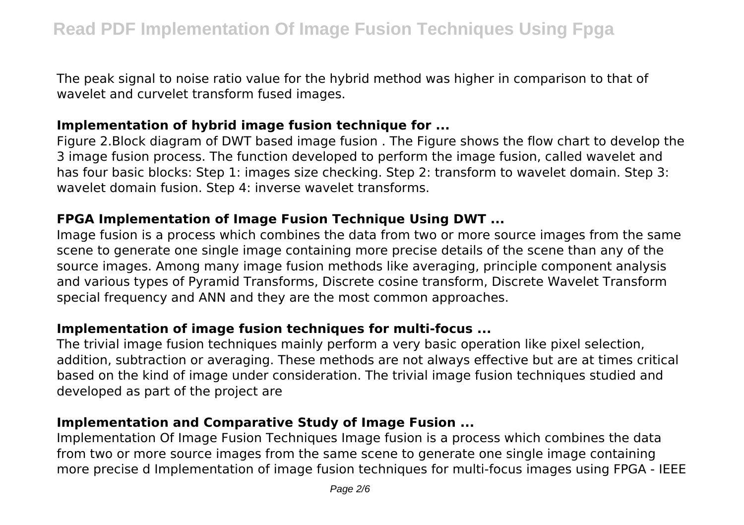The peak signal to noise ratio value for the hybrid method was higher in comparison to that of wavelet and curvelet transform fused images.

## **Implementation of hybrid image fusion technique for ...**

Figure 2.Block diagram of DWT based image fusion . The Figure shows the flow chart to develop the 3 image fusion process. The function developed to perform the image fusion, called wavelet and has four basic blocks: Step 1: images size checking. Step 2: transform to wavelet domain. Step 3: wavelet domain fusion. Step 4: inverse wavelet transforms.

# **FPGA Implementation of Image Fusion Technique Using DWT ...**

Image fusion is a process which combines the data from two or more source images from the same scene to generate one single image containing more precise details of the scene than any of the source images. Among many image fusion methods like averaging, principle component analysis and various types of Pyramid Transforms, Discrete cosine transform, Discrete Wavelet Transform special frequency and ANN and they are the most common approaches.

## **Implementation of image fusion techniques for multi-focus ...**

The trivial image fusion techniques mainly perform a very basic operation like pixel selection, addition, subtraction or averaging. These methods are not always effective but are at times critical based on the kind of image under consideration. The trivial image fusion techniques studied and developed as part of the project are

# **Implementation and Comparative Study of Image Fusion ...**

Implementation Of Image Fusion Techniques Image fusion is a process which combines the data from two or more source images from the same scene to generate one single image containing more precise d Implementation of image fusion techniques for multi-focus images using FPGA - IEEE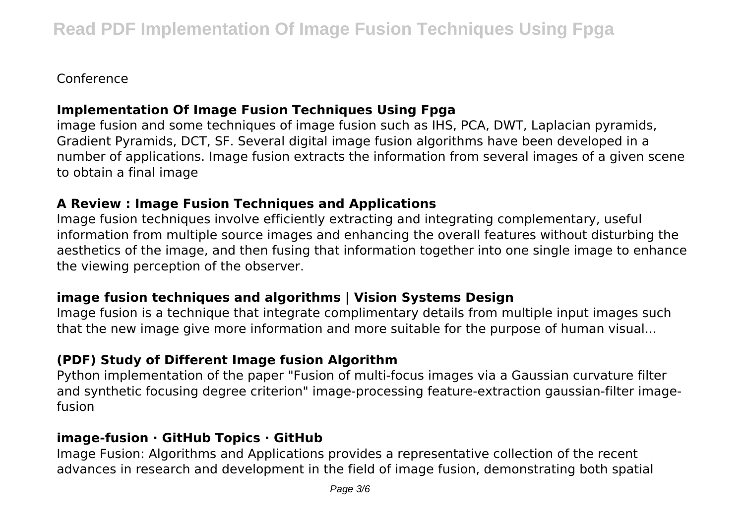Conference

# **Implementation Of Image Fusion Techniques Using Fpga**

image fusion and some techniques of image fusion such as IHS, PCA, DWT, Laplacian pyramids, Gradient Pyramids, DCT, SF. Several digital image fusion algorithms have been developed in a number of applications. Image fusion extracts the information from several images of a given scene to obtain a final image

# **A Review : Image Fusion Techniques and Applications**

Image fusion techniques involve efficiently extracting and integrating complementary, useful information from multiple source images and enhancing the overall features without disturbing the aesthetics of the image, and then fusing that information together into one single image to enhance the viewing perception of the observer.

# **image fusion techniques and algorithms | Vision Systems Design**

Image fusion is a technique that integrate complimentary details from multiple input images such that the new image give more information and more suitable for the purpose of human visual...

# **(PDF) Study of Different Image fusion Algorithm**

Python implementation of the paper "Fusion of multi-focus images via a Gaussian curvature filter and synthetic focusing degree criterion" image-processing feature-extraction gaussian-filter imagefusion

# **image-fusion · GitHub Topics · GitHub**

Image Fusion: Algorithms and Applications provides a representative collection of the recent advances in research and development in the field of image fusion, demonstrating both spatial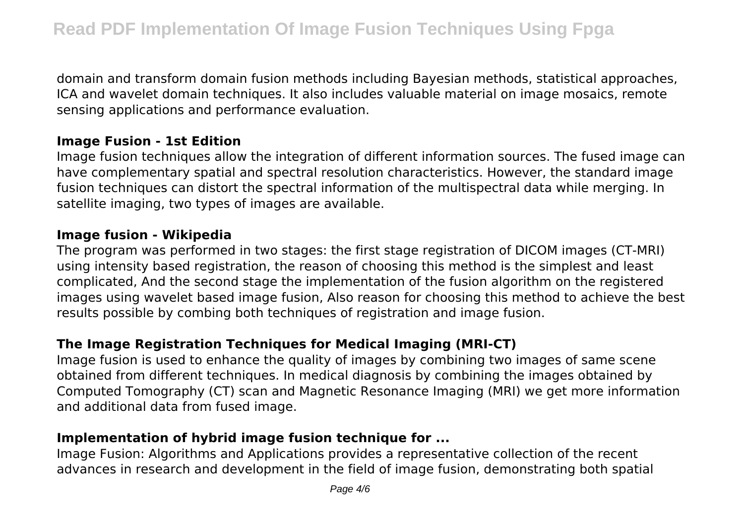domain and transform domain fusion methods including Bayesian methods, statistical approaches, ICA and wavelet domain techniques. It also includes valuable material on image mosaics, remote sensing applications and performance evaluation.

## **Image Fusion - 1st Edition**

Image fusion techniques allow the integration of different information sources. The fused image can have complementary spatial and spectral resolution characteristics. However, the standard image fusion techniques can distort the spectral information of the multispectral data while merging. In satellite imaging, two types of images are available.

#### **Image fusion - Wikipedia**

The program was performed in two stages: the first stage registration of DICOM images (CT-MRI) using intensity based registration, the reason of choosing this method is the simplest and least complicated, And the second stage the implementation of the fusion algorithm on the registered images using wavelet based image fusion, Also reason for choosing this method to achieve the best results possible by combing both techniques of registration and image fusion.

# **The Image Registration Techniques for Medical Imaging (MRI-CT)**

Image fusion is used to enhance the quality of images by combining two images of same scene obtained from different techniques. In medical diagnosis by combining the images obtained by Computed Tomography (CT) scan and Magnetic Resonance Imaging (MRI) we get more information and additional data from fused image.

# **Implementation of hybrid image fusion technique for ...**

Image Fusion: Algorithms and Applications provides a representative collection of the recent advances in research and development in the field of image fusion, demonstrating both spatial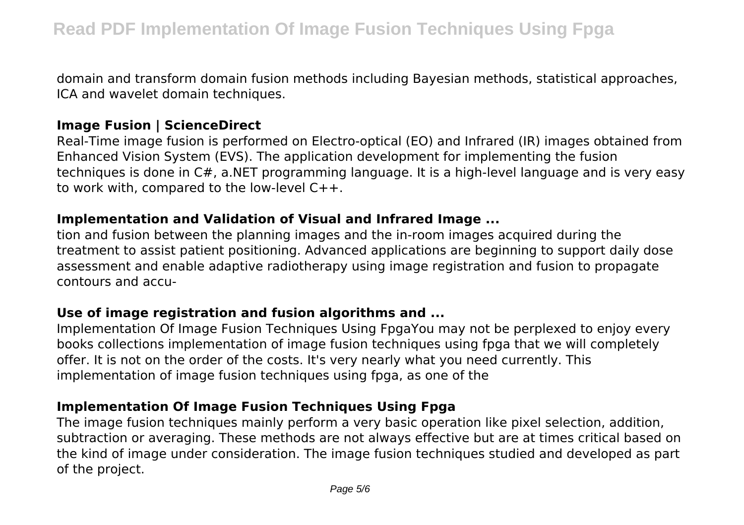domain and transform domain fusion methods including Bayesian methods, statistical approaches, ICA and wavelet domain techniques.

#### **Image Fusion | ScienceDirect**

Real-Time image fusion is performed on Electro-optical (EO) and Infrared (IR) images obtained from Enhanced Vision System (EVS). The application development for implementing the fusion techniques is done in C#, a.NET programming language. It is a high-level language and is very easy to work with, compared to the low-level C++.

#### **Implementation and Validation of Visual and Infrared Image ...**

tion and fusion between the planning images and the in-room images acquired during the treatment to assist patient positioning. Advanced applications are beginning to support daily dose assessment and enable adaptive radiotherapy using image registration and fusion to propagate contours and accu-

## **Use of image registration and fusion algorithms and ...**

Implementation Of Image Fusion Techniques Using FpgaYou may not be perplexed to enjoy every books collections implementation of image fusion techniques using fpga that we will completely offer. It is not on the order of the costs. It's very nearly what you need currently. This implementation of image fusion techniques using fpga, as one of the

# **Implementation Of Image Fusion Techniques Using Fpga**

The image fusion techniques mainly perform a very basic operation like pixel selection, addition, subtraction or averaging. These methods are not always effective but are at times critical based on the kind of image under consideration. The image fusion techniques studied and developed as part of the project.